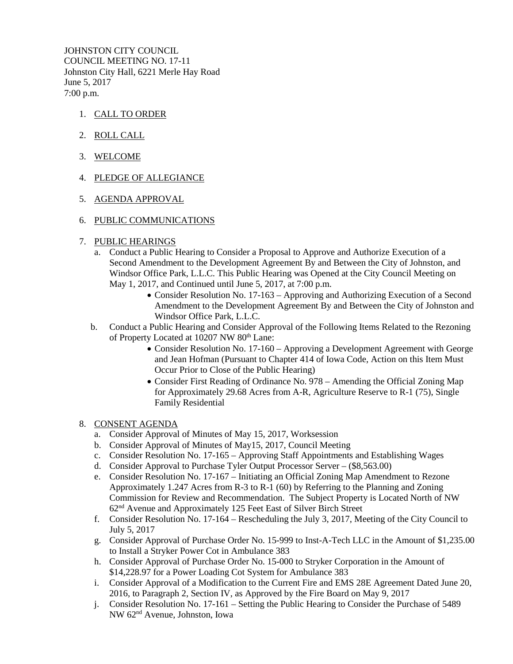JOHNSTON CITY COUNCIL COUNCIL MEETING NO. 17-11 Johnston City Hall, 6221 Merle Hay Road June 5, 2017 7:00 p.m.

- 1. CALL TO ORDER
- 2. ROLL CALL
- 3. WELCOME
- 4. PLEDGE OF ALLEGIANCE
- 5. AGENDA APPROVAL
- 6. PUBLIC COMMUNICATIONS
- 7. PUBLIC HEARINGS
	- a. Conduct a Public Hearing to Consider a Proposal to Approve and Authorize Execution of a Second Amendment to the Development Agreement By and Between the City of Johnston, and Windsor Office Park, L.L.C. This Public Hearing was Opened at the City Council Meeting on May 1, 2017, and Continued until June 5, 2017, at 7:00 p.m.
		- Consider Resolution No. 17-163 Approving and Authorizing Execution of a Second Amendment to the Development Agreement By and Between the City of Johnston and Windsor Office Park, L.L.C.
	- b. Conduct a Public Hearing and Consider Approval of the Following Items Related to the Rezoning of Property Located at 10207 NW 80<sup>th</sup> Lane:
		- Consider Resolution No. 17-160 Approving a Development Agreement with George and Jean Hofman (Pursuant to Chapter 414 of Iowa Code, Action on this Item Must Occur Prior to Close of the Public Hearing)
		- Consider First Reading of Ordinance No. 978 Amending the Official Zoning Map for Approximately 29.68 Acres from A-R, Agriculture Reserve to R-1 (75), Single Family Residential

## 8. CONSENT AGENDA

- a. Consider Approval of Minutes of May 15, 2017, Worksession
- b. Consider Approval of Minutes of May15, 2017, Council Meeting
- c. Consider Resolution No. 17-165 Approving Staff Appointments and Establishing Wages
- d. Consider Approval to Purchase Tyler Output Processor Server (\$8,563.00)
- e. Consider Resolution No. 17-167 Initiating an Official Zoning Map Amendment to Rezone Approximately 1.247 Acres from R-3 to R-1 (60) by Referring to the Planning and Zoning Commission for Review and Recommendation. The Subject Property is Located North of NW 62nd Avenue and Approximately 125 Feet East of Silver Birch Street
- f. Consider Resolution No. 17-164 Rescheduling the July 3, 2017, Meeting of the City Council to July 5, 2017
- g. Consider Approval of Purchase Order No. 15-999 to Inst-A-Tech LLC in the Amount of \$1,235.00 to Install a Stryker Power Cot in Ambulance 383
- h. Consider Approval of Purchase Order No. 15-000 to Stryker Corporation in the Amount of \$14,228.97 for a Power Loading Cot System for Ambulance 383
- i. Consider Approval of a Modification to the Current Fire and EMS 28E Agreement Dated June 20, 2016, to Paragraph 2, Section IV, as Approved by the Fire Board on May 9, 2017
- j. Consider Resolution No. 17-161 Setting the Public Hearing to Consider the Purchase of 5489 NW 62nd Avenue, Johnston, Iowa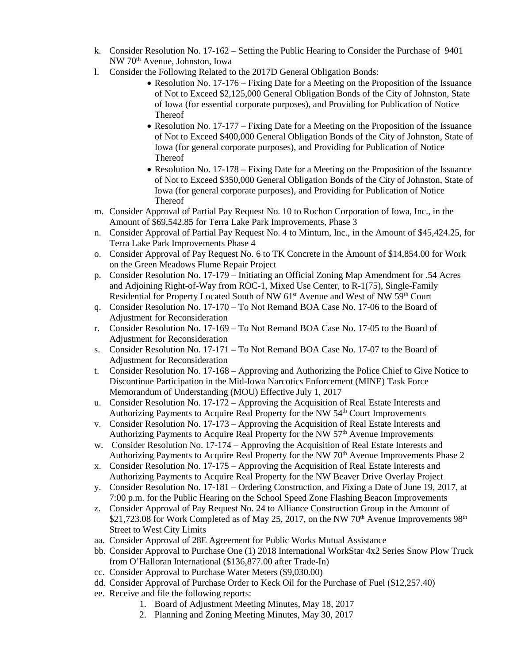- k. Consider Resolution No. 17-162 Setting the Public Hearing to Consider the Purchase of 9401 NW 70th Avenue, Johnston, Iowa
- l. Consider the Following Related to the 2017D General Obligation Bonds:
	- Resolution No. 17-176 Fixing Date for a Meeting on the Proposition of the Issuance of Not to Exceed \$2,125,000 General Obligation Bonds of the City of Johnston, State of Iowa (for essential corporate purposes), and Providing for Publication of Notice Thereof
	- Resolution No. 17-177 Fixing Date for a Meeting on the Proposition of the Issuance of Not to Exceed \$400,000 General Obligation Bonds of the City of Johnston, State of Iowa (for general corporate purposes), and Providing for Publication of Notice Thereof
	- Resolution No. 17-178 Fixing Date for a Meeting on the Proposition of the Issuance of Not to Exceed \$350,000 General Obligation Bonds of the City of Johnston, State of Iowa (for general corporate purposes), and Providing for Publication of Notice Thereof
- m. Consider Approval of Partial Pay Request No. 10 to Rochon Corporation of Iowa, Inc., in the Amount of \$69,542.85 for Terra Lake Park Improvements, Phase 3
- n. Consider Approval of Partial Pay Request No. 4 to Minturn, Inc., in the Amount of \$45,424.25, for Terra Lake Park Improvements Phase 4
- o. Consider Approval of Pay Request No. 6 to TK Concrete in the Amount of \$14,854.00 for Work on the Green Meadows Flume Repair Project
- p. Consider Resolution No. 17-179 Initiating an Official Zoning Map Amendment for .54 Acres and Adjoining Right-of-Way from ROC-1, Mixed Use Center, to R-1(75), Single-Family Residential for Property Located South of NW  $61<sup>st</sup>$  Avenue and West of NW  $59<sup>th</sup>$  Court
- q. Consider Resolution No. 17-170 To Not Remand BOA Case No. 17-06 to the Board of Adjustment for Reconsideration
- r. Consider Resolution No. 17-169 To Not Remand BOA Case No. 17-05 to the Board of Adjustment for Reconsideration
- s. Consider Resolution No. 17-171 To Not Remand BOA Case No. 17-07 to the Board of Adjustment for Reconsideration
- t. Consider Resolution No. 17-168 Approving and Authorizing the Police Chief to Give Notice to Discontinue Participation in the Mid-Iowa Narcotics Enforcement (MINE) Task Force Memorandum of Understanding (MOU) Effective July 1, 2017
- u. Consider Resolution No. 17-172 Approving the Acquisition of Real Estate Interests and Authorizing Payments to Acquire Real Property for the NW 54th Court Improvements
- v. Consider Resolution No. 17-173 Approving the Acquisition of Real Estate Interests and Authorizing Payments to Acquire Real Property for the NW 57<sup>th</sup> Avenue Improvements
- w. Consider Resolution No. 17-174 Approving the Acquisition of Real Estate Interests and Authorizing Payments to Acquire Real Property for the NW  $70<sup>th</sup>$  Avenue Improvements Phase 2
- x. Consider Resolution No. 17-175 Approving the Acquisition of Real Estate Interests and Authorizing Payments to Acquire Real Property for the NW Beaver Drive Overlay Project
- y. Consider Resolution No. 17-181 Ordering Construction, and Fixing a Date of June 19, 2017, at 7:00 p.m. for the Public Hearing on the School Speed Zone Flashing Beacon Improvements
- z. Consider Approval of Pay Request No. 24 to Alliance Construction Group in the Amount of \$21,723.08 for Work Completed as of May 25, 2017, on the NW 70<sup>th</sup> Avenue Improvements  $98<sup>th</sup>$ Street to West City Limits
- aa. Consider Approval of 28E Agreement for Public Works Mutual Assistance
- bb. Consider Approval to Purchase One (1) 2018 International WorkStar 4x2 Series Snow Plow Truck from O'Halloran International (\$136,877.00 after Trade-In)
- cc. Consider Approval to Purchase Water Meters (\$9,030.00)
- dd. Consider Approval of Purchase Order to Keck Oil for the Purchase of Fuel (\$12,257.40)
- ee. Receive and file the following reports:
	- 1. Board of Adjustment Meeting Minutes, May 18, 2017
		- 2. Planning and Zoning Meeting Minutes, May 30, 2017